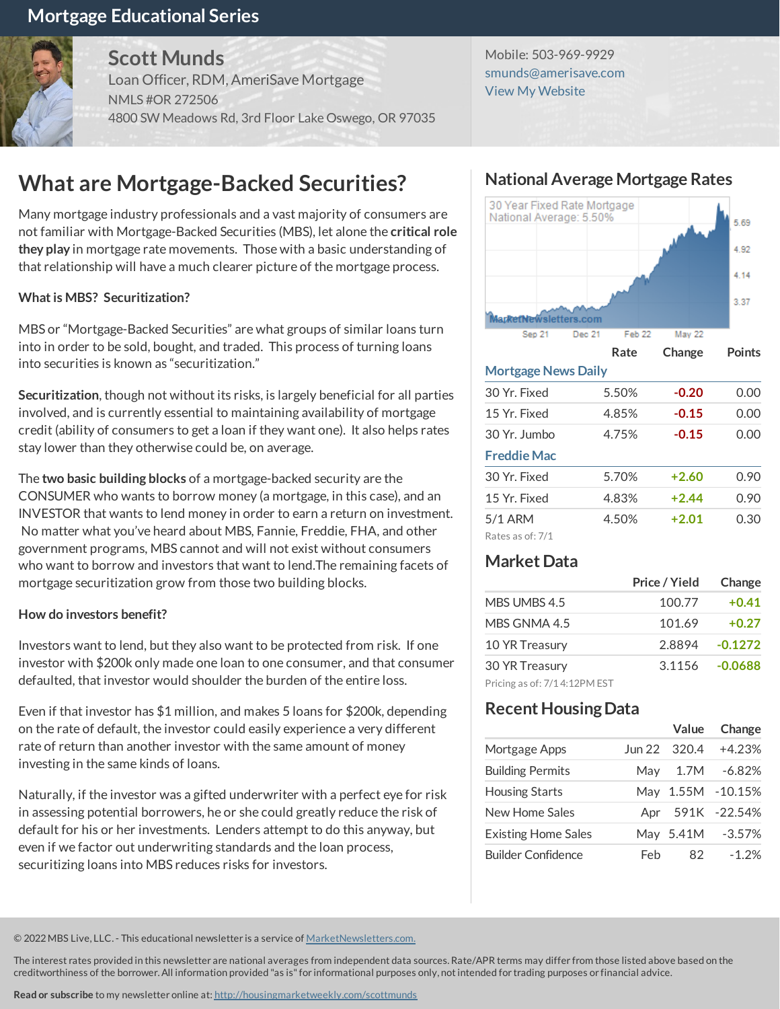## **Mortgage Educational Series**



**Scott Munds**

Loan Officer, RDM, AmeriSave Mortgage NMLS #OR 272506 4800 SW Meadows Rd, 3rd Floor Lake Oswego, OR 97035

Mobile: 503-969-9929 [smunds@amerisave.com](mailto:smunds@amerisave.com) View My [Website](https://homelending.amerisave.com/smunds)

# **What are Mortgage-Backed Securities?**

Many mortgage industry professionals and a vast majority of consumers are not familiar with Mortgage-Backed Securities(MBS), let alone the **critical role they play** in mortgage ratemovements. Thosewith a basic understanding of that relationship will have a much clearer picture of the mortgage process.

#### **Whatis MBS? Securitization?**

MBS or "Mortgage-Backed Securities" arewhat groups of similar loansturn into in order to be sold, bought, and traded. This process of turning loans into securities is known as "securitization."

**Securitization**, though not without itsrisks, islargely beneficial for all parties involved, and is currently essential to maintaining availability of mortgage credit (ability of consumers to get a loan if they want one). It also helps rates stay lower than they otherwise could be, on average.

The **two basic building blocks** of amortgage-backed security are the CONSUMER who wants to borrow money (a mortgage, in this case), and an INVESTOR that wants to lend money in order to earn a return on investment. No matter what you've heard about MBS, Fannie, Freddie, FHA, and other government programs, MBS cannot and will not exist withoutconsumers who want to borrow and investors that want to lend. The remaining facets of mortgage securitization grow from those two building blocks.

#### **How do investors benefit?**

Investors want to lend, but they also want to be protected from risk. If one investor with \$200k only made one loan to one consumer, and that consumer defaulted, that investor would shoulder the burden of the entire loss.

Even if that investor has \$1million, and makes 5 loansfor \$200k, depending on the rate of default, the investor could easily experience a very different rate of return than another investor with the same amount of money investing in the same kinds of loans.

Naturally, if the investor was a gifted underwriter with a perfect eye for risk in assessing potential borrowers, he or she could greatly reduce the risk of default for his or her investments. Lenders attempt to do this anyway, but even if we factor out underwriting standards and the loan process, securitizing loans into MBS reduces risks for investors.

## **NationalAverageMortgage Rates**



#### **MortgageNews Daily**

| 30 Yr. Fixed       | 5.50% | -0.20   | 0.00 |
|--------------------|-------|---------|------|
| 15 Yr. Fixed       | 4.85% | $-0.15$ | 0.00 |
| 30 Yr. Jumbo       | 4.75% | $-0.15$ | 0.00 |
| <b>Freddie Mac</b> |       |         |      |
| 30 Yr. Fixed       | 5.70% | $+2.60$ | 0.90 |
| 15 Yr. Fixed       | 4.83% | $+2.44$ | 0.90 |
| 5/1 ARM            | 4.50% | $+2.01$ | 0.30 |
| Rates as of: 7/1   |       |         |      |

## **MarketData**

|                              | Price / Yield | Change    |
|------------------------------|---------------|-----------|
| MBS UMBS 4.5                 | 100.77        | $+0.41$   |
| MBS GNMA 4.5                 | 101.69        | $+0.27$   |
| 10 YR Treasury               | 2.8894        | $-0.1272$ |
| 30 YR Treasury               | 3.1156        | $-0.0688$ |
| Pricing as of: 7/14:12PM EST |               |           |

### **Recent Housing Data**

|                            |     | Value        | Change            |
|----------------------------|-----|--------------|-------------------|
| Mortgage Apps              |     | Jun 22 320.4 | $+4.23%$          |
| <b>Building Permits</b>    | Mav | 1.7M         | $-6.82%$          |
| <b>Housing Starts</b>      |     |              | May 1.55M -10.15% |
| New Home Sales             | Apr |              | 591K -22.54%      |
| <b>Existing Home Sales</b> |     | May 5.41M    | $-3.57%$          |
| <b>Builder Confidence</b>  | Feh | 82           | $-1.2%$           |

© 2022MBS Live, LLC.- This educational newsletteris a service of MarketNewsletters.com.

The interest rates provided in this newsletter are national averages from independent data sources. Rate/APR terms may differ from those listed above based on the creditworthiness of the borrower.All information provided "as is"forinformational purposes only, notintended fortrading purposes orfinancial advice.